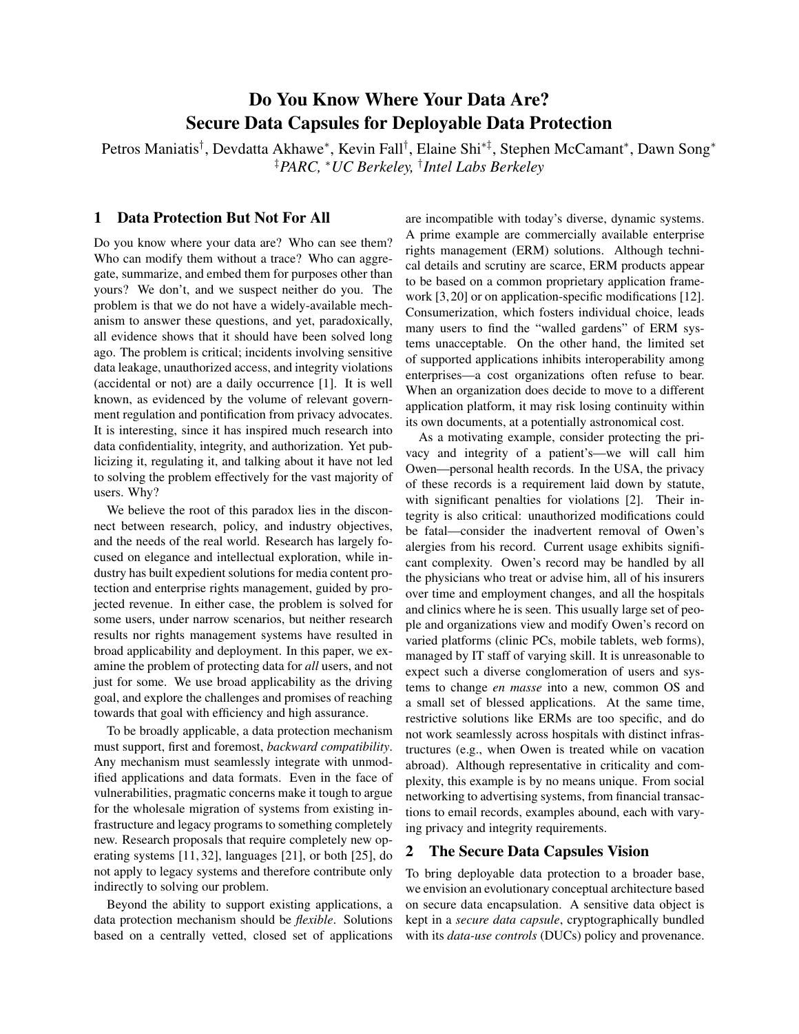# Do You Know Where Your Data Are? Secure Data Capsules for Deployable Data Protection

Petros Maniatis<sup>†</sup>, Devdatta Akhawe\*, Kevin Fall<sup>†</sup>, Elaine Shi<sup>∗‡</sup>, Stephen McCamant\*, Dawn Song\* ‡*PARC,* <sup>∗</sup>*UC Berkeley,* † *Intel Labs Berkeley*

# 1 Data Protection But Not For All

Do you know where your data are? Who can see them? Who can modify them without a trace? Who can aggregate, summarize, and embed them for purposes other than yours? We don't, and we suspect neither do you. The problem is that we do not have a widely-available mechanism to answer these questions, and yet, paradoxically, all evidence shows that it should have been solved long ago. The problem is critical; incidents involving sensitive data leakage, unauthorized access, and integrity violations (accidental or not) are a daily occurrence [1]. It is well known, as evidenced by the volume of relevant government regulation and pontification from privacy advocates. It is interesting, since it has inspired much research into data confidentiality, integrity, and authorization. Yet publicizing it, regulating it, and talking about it have not led to solving the problem effectively for the vast majority of users. Why?

We believe the root of this paradox lies in the disconnect between research, policy, and industry objectives, and the needs of the real world. Research has largely focused on elegance and intellectual exploration, while industry has built expedient solutions for media content protection and enterprise rights management, guided by projected revenue. In either case, the problem is solved for some users, under narrow scenarios, but neither research results nor rights management systems have resulted in broad applicability and deployment. In this paper, we examine the problem of protecting data for *all* users, and not just for some. We use broad applicability as the driving goal, and explore the challenges and promises of reaching towards that goal with efficiency and high assurance.

To be broadly applicable, a data protection mechanism must support, first and foremost, *backward compatibility*. Any mechanism must seamlessly integrate with unmodified applications and data formats. Even in the face of vulnerabilities, pragmatic concerns make it tough to argue for the wholesale migration of systems from existing infrastructure and legacy programs to something completely new. Research proposals that require completely new operating systems [11, 32], languages [21], or both [25], do not apply to legacy systems and therefore contribute only indirectly to solving our problem.

Beyond the ability to support existing applications, a data protection mechanism should be *flexible*. Solutions based on a centrally vetted, closed set of applications are incompatible with today's diverse, dynamic systems. A prime example are commercially available enterprise rights management (ERM) solutions. Although technical details and scrutiny are scarce, ERM products appear to be based on a common proprietary application framework [3, 20] or on application-specific modifications [12]. Consumerization, which fosters individual choice, leads many users to find the "walled gardens" of ERM systems unacceptable. On the other hand, the limited set of supported applications inhibits interoperability among enterprises—a cost organizations often refuse to bear. When an organization does decide to move to a different application platform, it may risk losing continuity within its own documents, at a potentially astronomical cost.

As a motivating example, consider protecting the privacy and integrity of a patient's—we will call him Owen—personal health records. In the USA, the privacy of these records is a requirement laid down by statute, with significant penalties for violations [2]. Their integrity is also critical: unauthorized modifications could be fatal—consider the inadvertent removal of Owen's alergies from his record. Current usage exhibits significant complexity. Owen's record may be handled by all the physicians who treat or advise him, all of his insurers over time and employment changes, and all the hospitals and clinics where he is seen. This usually large set of people and organizations view and modify Owen's record on varied platforms (clinic PCs, mobile tablets, web forms), managed by IT staff of varying skill. It is unreasonable to expect such a diverse conglomeration of users and systems to change *en masse* into a new, common OS and a small set of blessed applications. At the same time, restrictive solutions like ERMs are too specific, and do not work seamlessly across hospitals with distinct infrastructures (e.g., when Owen is treated while on vacation abroad). Although representative in criticality and complexity, this example is by no means unique. From social networking to advertising systems, from financial transactions to email records, examples abound, each with varying privacy and integrity requirements.

# 2 The Secure Data Capsules Vision

To bring deployable data protection to a broader base, we envision an evolutionary conceptual architecture based on secure data encapsulation. A sensitive data object is kept in a *secure data capsule*, cryptographically bundled with its *data-use controls* (DUCs) policy and provenance.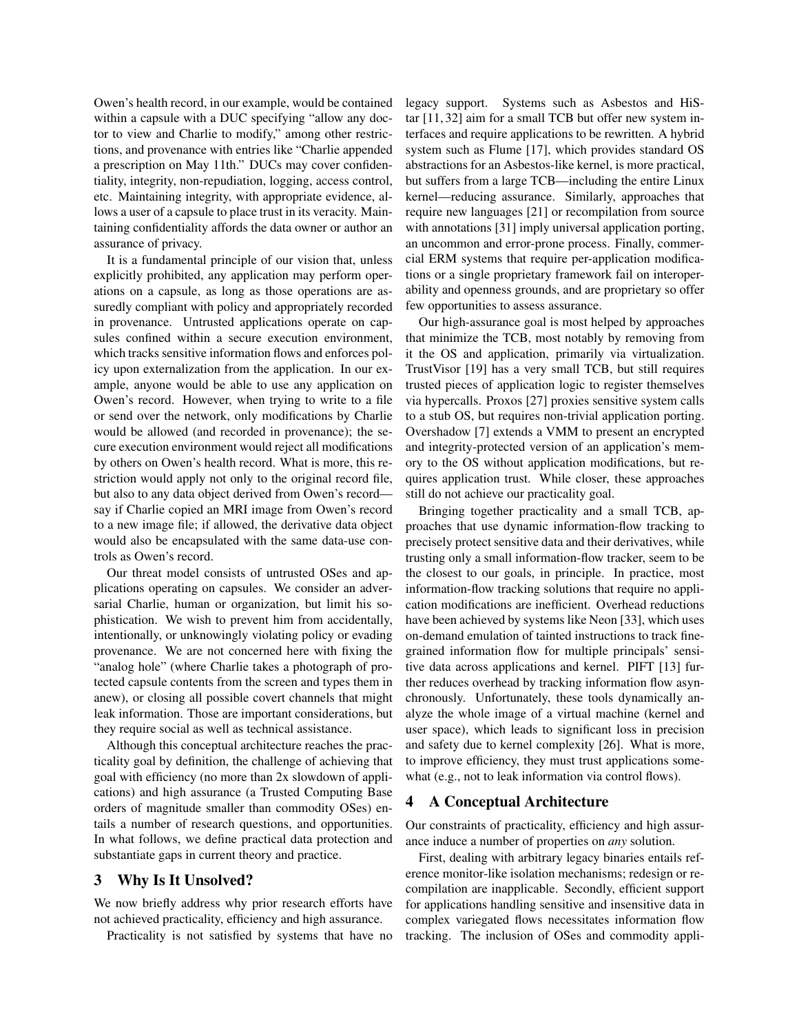Owen's health record, in our example, would be contained within a capsule with a DUC specifying "allow any doctor to view and Charlie to modify," among other restrictions, and provenance with entries like "Charlie appended a prescription on May 11th." DUCs may cover confidentiality, integrity, non-repudiation, logging, access control, etc. Maintaining integrity, with appropriate evidence, allows a user of a capsule to place trust in its veracity. Maintaining confidentiality affords the data owner or author an assurance of privacy.

It is a fundamental principle of our vision that, unless explicitly prohibited, any application may perform operations on a capsule, as long as those operations are assuredly compliant with policy and appropriately recorded in provenance. Untrusted applications operate on capsules confined within a secure execution environment, which tracks sensitive information flows and enforces policy upon externalization from the application. In our example, anyone would be able to use any application on Owen's record. However, when trying to write to a file or send over the network, only modifications by Charlie would be allowed (and recorded in provenance); the secure execution environment would reject all modifications by others on Owen's health record. What is more, this restriction would apply not only to the original record file, but also to any data object derived from Owen's recordsay if Charlie copied an MRI image from Owen's record to a new image file; if allowed, the derivative data object would also be encapsulated with the same data-use controls as Owen's record.

Our threat model consists of untrusted OSes and applications operating on capsules. We consider an adversarial Charlie, human or organization, but limit his sophistication. We wish to prevent him from accidentally, intentionally, or unknowingly violating policy or evading provenance. We are not concerned here with fixing the "analog hole" (where Charlie takes a photograph of protected capsule contents from the screen and types them in anew), or closing all possible covert channels that might leak information. Those are important considerations, but they require social as well as technical assistance.

Although this conceptual architecture reaches the practicality goal by definition, the challenge of achieving that goal with efficiency (no more than 2x slowdown of applications) and high assurance (a Trusted Computing Base orders of magnitude smaller than commodity OSes) entails a number of research questions, and opportunities. In what follows, we define practical data protection and substantiate gaps in current theory and practice.

## 3 Why Is It Unsolved?

We now briefly address why prior research efforts have not achieved practicality, efficiency and high assurance.

Practicality is not satisfied by systems that have no

legacy support. Systems such as Asbestos and HiStar [11, 32] aim for a small TCB but offer new system interfaces and require applications to be rewritten. A hybrid system such as Flume [17], which provides standard OS abstractions for an Asbestos-like kernel, is more practical, but suffers from a large TCB—including the entire Linux kernel—reducing assurance. Similarly, approaches that require new languages [21] or recompilation from source with annotations [31] imply universal application porting, an uncommon and error-prone process. Finally, commercial ERM systems that require per-application modifications or a single proprietary framework fail on interoperability and openness grounds, and are proprietary so offer few opportunities to assess assurance.

Our high-assurance goal is most helped by approaches that minimize the TCB, most notably by removing from it the OS and application, primarily via virtualization. TrustVisor [19] has a very small TCB, but still requires trusted pieces of application logic to register themselves via hypercalls. Proxos [27] proxies sensitive system calls to a stub OS, but requires non-trivial application porting. Overshadow [7] extends a VMM to present an encrypted and integrity-protected version of an application's memory to the OS without application modifications, but requires application trust. While closer, these approaches still do not achieve our practicality goal.

Bringing together practicality and a small TCB, approaches that use dynamic information-flow tracking to precisely protect sensitive data and their derivatives, while trusting only a small information-flow tracker, seem to be the closest to our goals, in principle. In practice, most information-flow tracking solutions that require no application modifications are inefficient. Overhead reductions have been achieved by systems like Neon [33], which uses on-demand emulation of tainted instructions to track finegrained information flow for multiple principals' sensitive data across applications and kernel. PIFT [13] further reduces overhead by tracking information flow asynchronously. Unfortunately, these tools dynamically analyze the whole image of a virtual machine (kernel and user space), which leads to significant loss in precision and safety due to kernel complexity [26]. What is more, to improve efficiency, they must trust applications somewhat (e.g., not to leak information via control flows).

## 4 A Conceptual Architecture

Our constraints of practicality, efficiency and high assurance induce a number of properties on *any* solution.

First, dealing with arbitrary legacy binaries entails reference monitor-like isolation mechanisms; redesign or recompilation are inapplicable. Secondly, efficient support for applications handling sensitive and insensitive data in complex variegated flows necessitates information flow tracking. The inclusion of OSes and commodity appli-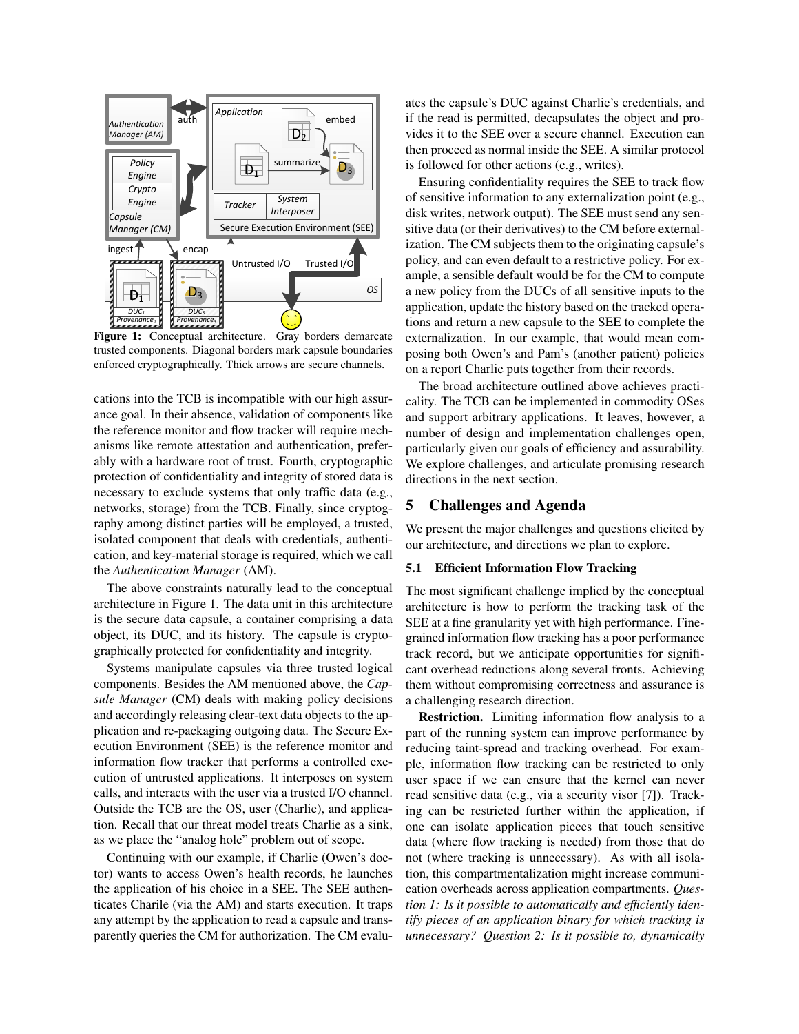

Figure 1: Conceptual architecture. Gray borders demarcate trusted components. Diagonal borders mark capsule boundaries enforced cryptographically. Thick arrows are secure channels.

cations into the TCB is incompatible with our high assurance goal. In their absence, validation of components like the reference monitor and flow tracker will require mechanisms like remote attestation and authentication, preferably with a hardware root of trust. Fourth, cryptographic protection of confidentiality and integrity of stored data is necessary to exclude systems that only traffic data (e.g., networks, storage) from the TCB. Finally, since cryptography among distinct parties will be employed, a trusted, isolated component that deals with credentials, authentication, and key-material storage is required, which we call the *Authentication Manager* (AM).

The above constraints naturally lead to the conceptual architecture in Figure 1. The data unit in this architecture is the secure data capsule, a container comprising a data object, its DUC, and its history. The capsule is cryptographically protected for confidentiality and integrity.

Systems manipulate capsules via three trusted logical components. Besides the AM mentioned above, the *Capsule Manager* (CM) deals with making policy decisions and accordingly releasing clear-text data objects to the application and re-packaging outgoing data. The Secure Execution Environment (SEE) is the reference monitor and information flow tracker that performs a controlled execution of untrusted applications. It interposes on system calls, and interacts with the user via a trusted I/O channel. Outside the TCB are the OS, user (Charlie), and application. Recall that our threat model treats Charlie as a sink, as we place the "analog hole" problem out of scope.

Continuing with our example, if Charlie (Owen's doctor) wants to access Owen's health records, he launches the application of his choice in a SEE. The SEE authenticates Charile (via the AM) and starts execution. It traps any attempt by the application to read a capsule and transparently queries the CM for authorization. The CM evaluates the capsule's DUC against Charlie's credentials, and if the read is permitted, decapsulates the object and provides it to the SEE over a secure channel. Execution can then proceed as normal inside the SEE. A similar protocol is followed for other actions (e.g., writes).

Ensuring confidentiality requires the SEE to track flow of sensitive information to any externalization point (e.g., disk writes, network output). The SEE must send any sensitive data (or their derivatives) to the CM before externalization. The CM subjects them to the originating capsule's policy, and can even default to a restrictive policy. For example, a sensible default would be for the CM to compute a new policy from the DUCs of all sensitive inputs to the application, update the history based on the tracked operations and return a new capsule to the SEE to complete the externalization. In our example, that would mean composing both Owen's and Pam's (another patient) policies on a report Charlie puts together from their records.

The broad architecture outlined above achieves practicality. The TCB can be implemented in commodity OSes and support arbitrary applications. It leaves, however, a number of design and implementation challenges open, particularly given our goals of efficiency and assurability. We explore challenges, and articulate promising research directions in the next section.

# 5 Challenges and Agenda

We present the major challenges and questions elicited by our architecture, and directions we plan to explore.

## 5.1 Efficient Information Flow Tracking

The most significant challenge implied by the conceptual architecture is how to perform the tracking task of the SEE at a fine granularity yet with high performance. Finegrained information flow tracking has a poor performance track record, but we anticipate opportunities for significant overhead reductions along several fronts. Achieving them without compromising correctness and assurance is a challenging research direction.

Restriction. Limiting information flow analysis to a part of the running system can improve performance by reducing taint-spread and tracking overhead. For example, information flow tracking can be restricted to only user space if we can ensure that the kernel can never read sensitive data (e.g., via a security visor [7]). Tracking can be restricted further within the application, if one can isolate application pieces that touch sensitive data (where flow tracking is needed) from those that do not (where tracking is unnecessary). As with all isolation, this compartmentalization might increase communication overheads across application compartments. *Question 1: Is it possible to automatically and efficiently identify pieces of an application binary for which tracking is unnecessary? Question 2: Is it possible to, dynamically*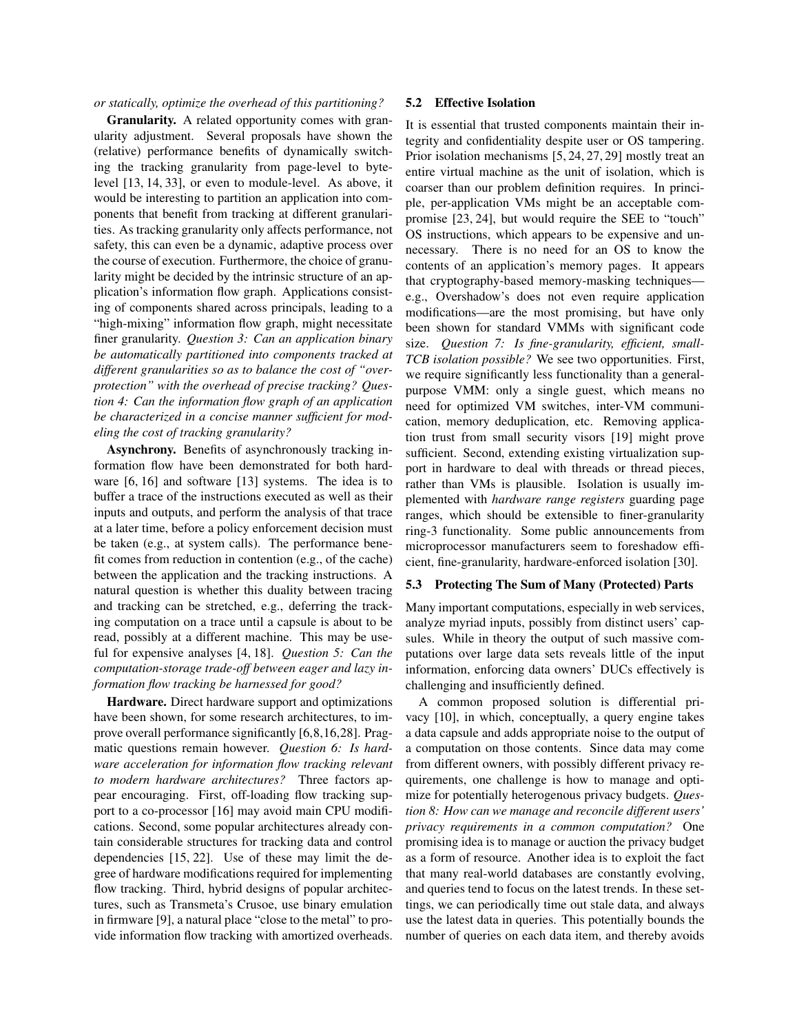*or statically, optimize the overhead of this partitioning?*

Granularity. A related opportunity comes with granularity adjustment. Several proposals have shown the (relative) performance benefits of dynamically switching the tracking granularity from page-level to bytelevel [13, 14, 33], or even to module-level. As above, it would be interesting to partition an application into components that benefit from tracking at different granularities. As tracking granularity only affects performance, not safety, this can even be a dynamic, adaptive process over the course of execution. Furthermore, the choice of granularity might be decided by the intrinsic structure of an application's information flow graph. Applications consisting of components shared across principals, leading to a "high-mixing" information flow graph, might necessitate finer granularity. *Question 3: Can an application binary be automatically partitioned into components tracked at different granularities so as to balance the cost of "overprotection" with the overhead of precise tracking? Question 4: Can the information flow graph of an application be characterized in a concise manner sufficient for modeling the cost of tracking granularity?*

Asynchrony. Benefits of asynchronously tracking information flow have been demonstrated for both hardware [6, 16] and software [13] systems. The idea is to buffer a trace of the instructions executed as well as their inputs and outputs, and perform the analysis of that trace at a later time, before a policy enforcement decision must be taken (e.g., at system calls). The performance benefit comes from reduction in contention (e.g., of the cache) between the application and the tracking instructions. A natural question is whether this duality between tracing and tracking can be stretched, e.g., deferring the tracking computation on a trace until a capsule is about to be read, possibly at a different machine. This may be useful for expensive analyses [4, 18]. *Question 5: Can the computation-storage trade-off between eager and lazy information flow tracking be harnessed for good?*

Hardware. Direct hardware support and optimizations have been shown, for some research architectures, to improve overall performance significantly [6,8,16,28]. Pragmatic questions remain however. *Question 6: Is hardware acceleration for information flow tracking relevant to modern hardware architectures?* Three factors appear encouraging. First, off-loading flow tracking support to a co-processor [16] may avoid main CPU modifications. Second, some popular architectures already contain considerable structures for tracking data and control dependencies [15, 22]. Use of these may limit the degree of hardware modifications required for implementing flow tracking. Third, hybrid designs of popular architectures, such as Transmeta's Crusoe, use binary emulation in firmware [9], a natural place "close to the metal" to provide information flow tracking with amortized overheads.

#### 5.2 Effective Isolation

It is essential that trusted components maintain their integrity and confidentiality despite user or OS tampering. Prior isolation mechanisms [5, 24, 27, 29] mostly treat an entire virtual machine as the unit of isolation, which is coarser than our problem definition requires. In principle, per-application VMs might be an acceptable compromise [23, 24], but would require the SEE to "touch" OS instructions, which appears to be expensive and unnecessary. There is no need for an OS to know the contents of an application's memory pages. It appears that cryptography-based memory-masking techniques e.g., Overshadow's does not even require application modifications—are the most promising, but have only been shown for standard VMMs with significant code size. *Question 7: Is fine-granularity, efficient, small-TCB isolation possible?* We see two opportunities. First, we require significantly less functionality than a generalpurpose VMM: only a single guest, which means no need for optimized VM switches, inter-VM communication, memory deduplication, etc. Removing application trust from small security visors [19] might prove sufficient. Second, extending existing virtualization support in hardware to deal with threads or thread pieces, rather than VMs is plausible. Isolation is usually implemented with *hardware range registers* guarding page ranges, which should be extensible to finer-granularity ring-3 functionality. Some public announcements from microprocessor manufacturers seem to foreshadow efficient, fine-granularity, hardware-enforced isolation [30].

## 5.3 Protecting The Sum of Many (Protected) Parts

Many important computations, especially in web services, analyze myriad inputs, possibly from distinct users' capsules. While in theory the output of such massive computations over large data sets reveals little of the input information, enforcing data owners' DUCs effectively is challenging and insufficiently defined.

A common proposed solution is differential privacy [10], in which, conceptually, a query engine takes a data capsule and adds appropriate noise to the output of a computation on those contents. Since data may come from different owners, with possibly different privacy requirements, one challenge is how to manage and optimize for potentially heterogenous privacy budgets. *Question 8: How can we manage and reconcile different users' privacy requirements in a common computation?* One promising idea is to manage or auction the privacy budget as a form of resource. Another idea is to exploit the fact that many real-world databases are constantly evolving, and queries tend to focus on the latest trends. In these settings, we can periodically time out stale data, and always use the latest data in queries. This potentially bounds the number of queries on each data item, and thereby avoids